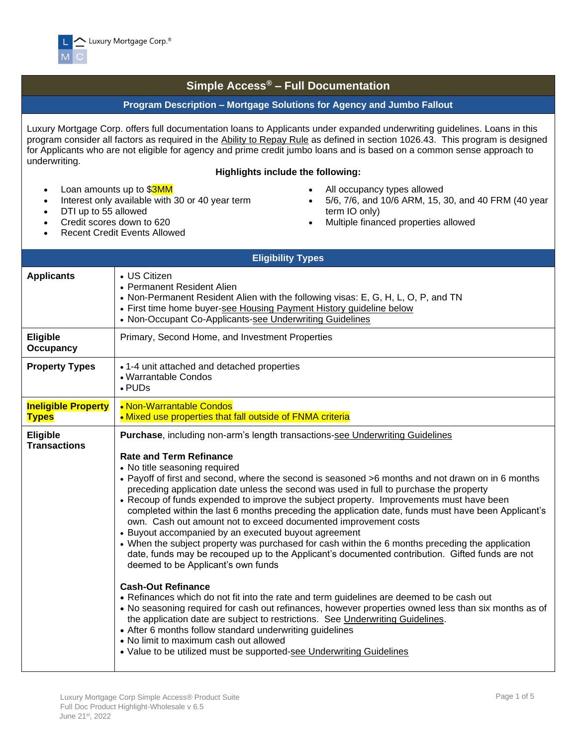

## **Simple Access® – Full Documentation**

## **Program Description – Mortgage Solutions for Agency and Jumbo Fallout**

Luxury Mortgage Corp. offers full documentation loans to Applicants under expanded underwriting guidelines. Loans in this program consider all factors as required in the Ability to Repay Rule as defined in section 1026.43. This program is designed for Applicants who are not eligible for agency and prime credit jumbo loans and is based on a common sense approach to underwriting.

## **Highlights include the following:**

- Loan amounts up to \$3MM
- Interest only available with 30 or 40 year term
- DTI up to 55 allowed
- Credit scores down to 620
- Recent Credit Events Allowed
- All occupancy types allowed
- 5/6, 7/6, and 10/6 ARM, 15, 30, and 40 FRM (40 year term IO only)
- Multiple financed properties allowed

| <b>Eligibility Types</b>                   |                                                                                                                                                                                                                                                                                                                                                                                                                                                                                                                                                                                                                                                                                                                                                                                                                                                                                                                                                                                                                                                                                                                                                                                                                                                                                                                                                                                                                                    |  |  |  |  |  |  |  |
|--------------------------------------------|------------------------------------------------------------------------------------------------------------------------------------------------------------------------------------------------------------------------------------------------------------------------------------------------------------------------------------------------------------------------------------------------------------------------------------------------------------------------------------------------------------------------------------------------------------------------------------------------------------------------------------------------------------------------------------------------------------------------------------------------------------------------------------------------------------------------------------------------------------------------------------------------------------------------------------------------------------------------------------------------------------------------------------------------------------------------------------------------------------------------------------------------------------------------------------------------------------------------------------------------------------------------------------------------------------------------------------------------------------------------------------------------------------------------------------|--|--|--|--|--|--|--|
| <b>Applicants</b>                          | • US Citizen<br>• Permanent Resident Alien<br>• Non-Permanent Resident Alien with the following visas: E, G, H, L, O, P, and TN<br>• First time home buyer-see Housing Payment History guideline below<br>• Non-Occupant Co-Applicants-see Underwriting Guidelines                                                                                                                                                                                                                                                                                                                                                                                                                                                                                                                                                                                                                                                                                                                                                                                                                                                                                                                                                                                                                                                                                                                                                                 |  |  |  |  |  |  |  |
| Eligible<br><b>Occupancy</b>               | Primary, Second Home, and Investment Properties                                                                                                                                                                                                                                                                                                                                                                                                                                                                                                                                                                                                                                                                                                                                                                                                                                                                                                                                                                                                                                                                                                                                                                                                                                                                                                                                                                                    |  |  |  |  |  |  |  |
| <b>Property Types</b>                      | • 1-4 unit attached and detached properties<br>• Warrantable Condos<br>$\cdot$ PUDs                                                                                                                                                                                                                                                                                                                                                                                                                                                                                                                                                                                                                                                                                                                                                                                                                                                                                                                                                                                                                                                                                                                                                                                                                                                                                                                                                |  |  |  |  |  |  |  |
| <b>Ineligible Property</b><br><b>Types</b> | • Non-Warrantable Condos<br>. Mixed use properties that fall outside of FNMA criteria                                                                                                                                                                                                                                                                                                                                                                                                                                                                                                                                                                                                                                                                                                                                                                                                                                                                                                                                                                                                                                                                                                                                                                                                                                                                                                                                              |  |  |  |  |  |  |  |
| <b>Eligible</b><br><b>Transactions</b>     | <b>Purchase, including non-arm's length transactions-see Underwriting Guidelines</b><br><b>Rate and Term Refinance</b><br>• No title seasoning required<br>• Payoff of first and second, where the second is seasoned >6 months and not drawn on in 6 months<br>preceding application date unless the second was used in full to purchase the property<br>• Recoup of funds expended to improve the subject property. Improvements must have been<br>completed within the last 6 months preceding the application date, funds must have been Applicant's<br>own. Cash out amount not to exceed documented improvement costs<br>• Buyout accompanied by an executed buyout agreement<br>• When the subject property was purchased for cash within the 6 months preceding the application<br>date, funds may be recouped up to the Applicant's documented contribution. Gifted funds are not<br>deemed to be Applicant's own funds<br><b>Cash-Out Refinance</b><br>• Refinances which do not fit into the rate and term guidelines are deemed to be cash out<br>. No seasoning required for cash out refinances, however properties owned less than six months as of<br>the application date are subject to restrictions. See Underwriting Guidelines.<br>• After 6 months follow standard underwriting guidelines<br>• No limit to maximum cash out allowed<br>• Value to be utilized must be supported-see Underwriting Guidelines |  |  |  |  |  |  |  |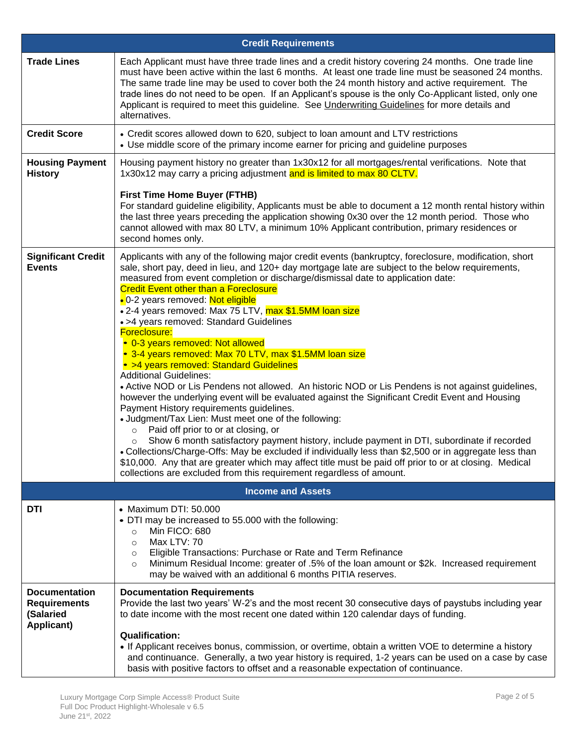|                                                                        | <b>Credit Requirements</b>                                                                                                                                                                                                                                                                                                                                                                                                                                                                                                                                                                                                                                                                                                                                                                                                                                                                                                                                                                                                                                                                                                                                                                                                                                                                                                                                                                                                                            |
|------------------------------------------------------------------------|-------------------------------------------------------------------------------------------------------------------------------------------------------------------------------------------------------------------------------------------------------------------------------------------------------------------------------------------------------------------------------------------------------------------------------------------------------------------------------------------------------------------------------------------------------------------------------------------------------------------------------------------------------------------------------------------------------------------------------------------------------------------------------------------------------------------------------------------------------------------------------------------------------------------------------------------------------------------------------------------------------------------------------------------------------------------------------------------------------------------------------------------------------------------------------------------------------------------------------------------------------------------------------------------------------------------------------------------------------------------------------------------------------------------------------------------------------|
| <b>Trade Lines</b>                                                     | Each Applicant must have three trade lines and a credit history covering 24 months. One trade line<br>must have been active within the last 6 months. At least one trade line must be seasoned 24 months.<br>The same trade line may be used to cover both the 24 month history and active requirement. The<br>trade lines do not need to be open. If an Applicant's spouse is the only Co-Applicant listed, only one<br>Applicant is required to meet this guideline. See <i>Underwriting Guidelines</i> for more details and<br>alternatives.                                                                                                                                                                                                                                                                                                                                                                                                                                                                                                                                                                                                                                                                                                                                                                                                                                                                                                       |
| <b>Credit Score</b>                                                    | • Credit scores allowed down to 620, subject to loan amount and LTV restrictions<br>• Use middle score of the primary income earner for pricing and guideline purposes                                                                                                                                                                                                                                                                                                                                                                                                                                                                                                                                                                                                                                                                                                                                                                                                                                                                                                                                                                                                                                                                                                                                                                                                                                                                                |
| <b>Housing Payment</b><br><b>History</b>                               | Housing payment history no greater than 1x30x12 for all mortgages/rental verifications. Note that<br>1x30x12 may carry a pricing adjustment and is limited to max 80 CLTV.<br><b>First Time Home Buyer (FTHB)</b><br>For standard guideline eligibility, Applicants must be able to document a 12 month rental history within<br>the last three years preceding the application showing 0x30 over the 12 month period. Those who<br>cannot allowed with max 80 LTV, a minimum 10% Applicant contribution, primary residences or<br>second homes only.                                                                                                                                                                                                                                                                                                                                                                                                                                                                                                                                                                                                                                                                                                                                                                                                                                                                                                 |
| <b>Significant Credit</b><br><b>Events</b>                             | Applicants with any of the following major credit events (bankruptcy, foreclosure, modification, short<br>sale, short pay, deed in lieu, and 120+ day mortgage late are subject to the below requirements,<br>measured from event completion or discharge/dismissal date to application date:<br><b>Credit Event other than a Foreclosure</b><br>• 0-2 years removed: Not eligible<br>• 2-4 years removed: Max 75 LTV, max \$1.5MM loan size<br>• >4 years removed: Standard Guidelines<br>Foreclosure:<br>• 0-3 years removed: Not allowed<br>• 3-4 years removed: Max 70 LTV, max \$1.5MM loan size<br>• >4 years removed: Standard Guidelines<br><b>Additional Guidelines:</b><br>• Active NOD or Lis Pendens not allowed. An historic NOD or Lis Pendens is not against guidelines,<br>however the underlying event will be evaluated against the Significant Credit Event and Housing<br>Payment History requirements guidelines.<br>• Judgment/Tax Lien: Must meet one of the following:<br>Paid off prior to or at closing, or<br>$\circ$<br>Show 6 month satisfactory payment history, include payment in DTI, subordinate if recorded<br>$\circ$<br>. Collections/Charge-Offs: May be excluded if individually less than \$2,500 or in aggregate less than<br>\$10,000. Any that are greater which may affect title must be paid off prior to or at closing. Medical<br>collections are excluded from this requirement regardless of amount. |
|                                                                        | <b>Income and Assets</b>                                                                                                                                                                                                                                                                                                                                                                                                                                                                                                                                                                                                                                                                                                                                                                                                                                                                                                                                                                                                                                                                                                                                                                                                                                                                                                                                                                                                                              |
| DTI                                                                    | • Maximum DTI: 50.000<br>• DTI may be increased to 55.000 with the following:<br>Min FICO: 680<br>$\circ$<br>Max LTV: 70<br>$\circ$<br>Eligible Transactions: Purchase or Rate and Term Refinance<br>$\circ$<br>Minimum Residual Income: greater of .5% of the loan amount or \$2k. Increased requirement<br>O<br>may be waived with an additional 6 months PITIA reserves.                                                                                                                                                                                                                                                                                                                                                                                                                                                                                                                                                                                                                                                                                                                                                                                                                                                                                                                                                                                                                                                                           |
| <b>Documentation</b><br><b>Requirements</b><br>(Salaried<br>Applicant) | <b>Documentation Requirements</b><br>Provide the last two years' W-2's and the most recent 30 consecutive days of paystubs including year<br>to date income with the most recent one dated within 120 calendar days of funding.<br><b>Qualification:</b><br>• If Applicant receives bonus, commission, or overtime, obtain a written VOE to determine a history<br>and continuance. Generally, a two year history is required, 1-2 years can be used on a case by case<br>basis with positive factors to offset and a reasonable expectation of continuance.                                                                                                                                                                                                                                                                                                                                                                                                                                                                                                                                                                                                                                                                                                                                                                                                                                                                                          |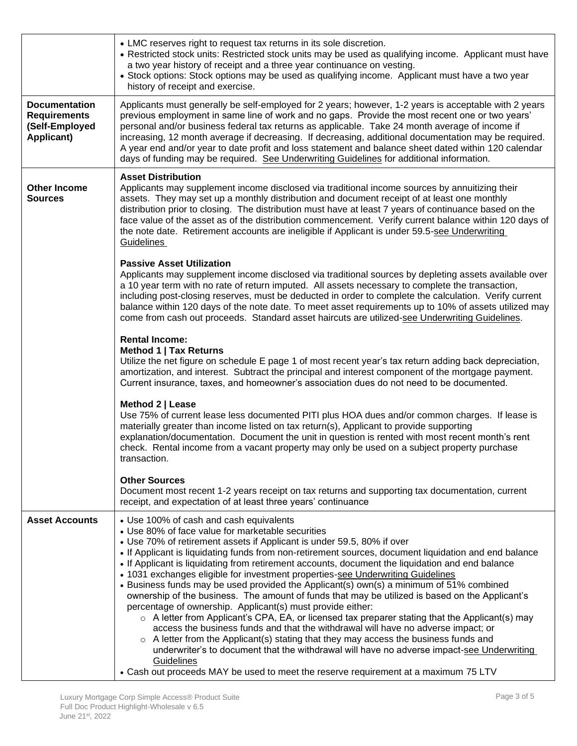|                                                                             | • LMC reserves right to request tax returns in its sole discretion.<br>• Restricted stock units: Restricted stock units may be used as qualifying income. Applicant must have<br>a two year history of receipt and a three year continuance on vesting.<br>• Stock options: Stock options may be used as qualifying income. Applicant must have a two year<br>history of receipt and exercise.                                                                                                                                                                                                                                                                                                                                                                                                                                                                                                                                                                                                                                                                                                                                             |  |  |  |  |  |  |  |  |
|-----------------------------------------------------------------------------|--------------------------------------------------------------------------------------------------------------------------------------------------------------------------------------------------------------------------------------------------------------------------------------------------------------------------------------------------------------------------------------------------------------------------------------------------------------------------------------------------------------------------------------------------------------------------------------------------------------------------------------------------------------------------------------------------------------------------------------------------------------------------------------------------------------------------------------------------------------------------------------------------------------------------------------------------------------------------------------------------------------------------------------------------------------------------------------------------------------------------------------------|--|--|--|--|--|--|--|--|
| <b>Documentation</b><br><b>Requirements</b><br>(Self-Employed<br>Applicant) | Applicants must generally be self-employed for 2 years; however, 1-2 years is acceptable with 2 years<br>previous employment in same line of work and no gaps. Provide the most recent one or two years'<br>personal and/or business federal tax returns as applicable. Take 24 month average of income if<br>increasing, 12 month average if decreasing. If decreasing, additional documentation may be required.<br>A year end and/or year to date profit and loss statement and balance sheet dated within 120 calendar<br>days of funding may be required. See Underwriting Guidelines for additional information.                                                                                                                                                                                                                                                                                                                                                                                                                                                                                                                     |  |  |  |  |  |  |  |  |
| <b>Other Income</b><br><b>Sources</b>                                       | <b>Asset Distribution</b><br>Applicants may supplement income disclosed via traditional income sources by annuitizing their<br>assets. They may set up a monthly distribution and document receipt of at least one monthly<br>distribution prior to closing. The distribution must have at least 7 years of continuance based on the<br>face value of the asset as of the distribution commencement. Verify current balance within 120 days of<br>the note date. Retirement accounts are ineligible if Applicant is under 59.5-see Underwriting<br><b>Guidelines</b>                                                                                                                                                                                                                                                                                                                                                                                                                                                                                                                                                                       |  |  |  |  |  |  |  |  |
|                                                                             | <b>Passive Asset Utilization</b><br>Applicants may supplement income disclosed via traditional sources by depleting assets available over<br>a 10 year term with no rate of return imputed. All assets necessary to complete the transaction,<br>including post-closing reserves, must be deducted in order to complete the calculation. Verify current<br>balance within 120 days of the note date. To meet asset requirements up to 10% of assets utilized may<br>come from cash out proceeds. Standard asset haircuts are utilized-see Underwriting Guidelines.                                                                                                                                                                                                                                                                                                                                                                                                                                                                                                                                                                         |  |  |  |  |  |  |  |  |
|                                                                             | <b>Rental Income:</b><br>Method 1   Tax Returns<br>Utilize the net figure on schedule E page 1 of most recent year's tax return adding back depreciation,<br>amortization, and interest. Subtract the principal and interest component of the mortgage payment.<br>Current insurance, taxes, and homeowner's association dues do not need to be documented.                                                                                                                                                                                                                                                                                                                                                                                                                                                                                                                                                                                                                                                                                                                                                                                |  |  |  |  |  |  |  |  |
|                                                                             | Method 2   Lease<br>Use 75% of current lease less documented PITI plus HOA dues and/or common charges. If lease is<br>materially greater than income listed on tax return(s), Applicant to provide supporting<br>explanation/documentation. Document the unit in question is rented with most recent month's rent<br>check. Rental income from a vacant property may only be used on a subject property purchase<br>transaction.                                                                                                                                                                                                                                                                                                                                                                                                                                                                                                                                                                                                                                                                                                           |  |  |  |  |  |  |  |  |
|                                                                             | <b>Other Sources</b><br>Document most recent 1-2 years receipt on tax returns and supporting tax documentation, current<br>receipt, and expectation of at least three years' continuance                                                                                                                                                                                                                                                                                                                                                                                                                                                                                                                                                                                                                                                                                                                                                                                                                                                                                                                                                   |  |  |  |  |  |  |  |  |
| <b>Asset Accounts</b>                                                       | • Use 100% of cash and cash equivalents<br>• Use 80% of face value for marketable securities<br>• Use 70% of retirement assets if Applicant is under 59.5, 80% if over<br>• If Applicant is liquidating funds from non-retirement sources, document liquidation and end balance<br>• If Applicant is liquidating from retirement accounts, document the liquidation and end balance<br>• 1031 exchanges eligible for investment properties-see Underwriting Guidelines<br>• Business funds may be used provided the Applicant(s) own(s) a minimum of 51% combined<br>ownership of the business. The amount of funds that may be utilized is based on the Applicant's<br>percentage of ownership. Applicant(s) must provide either:<br>$\circ$ A letter from Applicant's CPA, EA, or licensed tax preparer stating that the Applicant(s) may<br>access the business funds and that the withdrawal will have no adverse impact; or<br>$\circ$ A letter from the Applicant(s) stating that they may access the business funds and<br>underwriter's to document that the withdrawal will have no adverse impact-see Underwriting<br>Guidelines |  |  |  |  |  |  |  |  |
|                                                                             | • Cash out proceeds MAY be used to meet the reserve requirement at a maximum 75 LTV                                                                                                                                                                                                                                                                                                                                                                                                                                                                                                                                                                                                                                                                                                                                                                                                                                                                                                                                                                                                                                                        |  |  |  |  |  |  |  |  |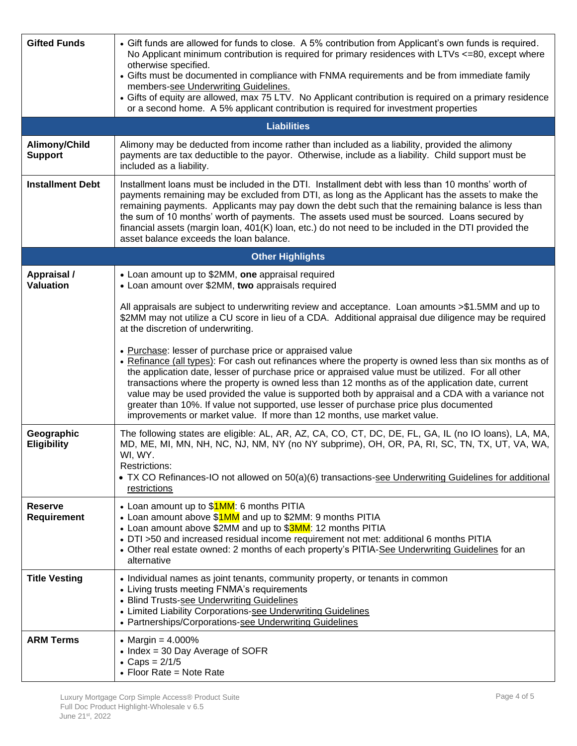| <b>Gifted Funds</b>                  | • Gift funds are allowed for funds to close. A 5% contribution from Applicant's own funds is required.<br>No Applicant minimum contribution is required for primary residences with LTVs $\lt$ =80, except where<br>otherwise specified.<br>• Gifts must be documented in compliance with FNMA requirements and be from immediate family<br>members-see Underwriting Guidelines.<br>• Gifts of equity are allowed, max 75 LTV. No Applicant contribution is required on a primary residence<br>or a second home. A 5% applicant contribution is required for investment properties                                                                    |  |  |  |  |  |  |  |  |  |
|--------------------------------------|-------------------------------------------------------------------------------------------------------------------------------------------------------------------------------------------------------------------------------------------------------------------------------------------------------------------------------------------------------------------------------------------------------------------------------------------------------------------------------------------------------------------------------------------------------------------------------------------------------------------------------------------------------|--|--|--|--|--|--|--|--|--|
|                                      | <b>Liabilities</b>                                                                                                                                                                                                                                                                                                                                                                                                                                                                                                                                                                                                                                    |  |  |  |  |  |  |  |  |  |
| Alimony/Child<br><b>Support</b>      | Alimony may be deducted from income rather than included as a liability, provided the alimony<br>payments are tax deductible to the payor. Otherwise, include as a liability. Child support must be<br>included as a liability.                                                                                                                                                                                                                                                                                                                                                                                                                       |  |  |  |  |  |  |  |  |  |
| <b>Installment Debt</b>              | Installment loans must be included in the DTI. Installment debt with less than 10 months' worth of<br>payments remaining may be excluded from DTI, as long as the Applicant has the assets to make the<br>remaining payments. Applicants may pay down the debt such that the remaining balance is less than<br>the sum of 10 months' worth of payments. The assets used must be sourced. Loans secured by<br>financial assets (margin loan, 401(K) loan, etc.) do not need to be included in the DTI provided the<br>asset balance exceeds the loan balance.                                                                                          |  |  |  |  |  |  |  |  |  |
|                                      | <b>Other Highlights</b>                                                                                                                                                                                                                                                                                                                                                                                                                                                                                                                                                                                                                               |  |  |  |  |  |  |  |  |  |
| Appraisal /<br><b>Valuation</b>      | • Loan amount up to \$2MM, one appraisal required<br>• Loan amount over \$2MM, two appraisals required                                                                                                                                                                                                                                                                                                                                                                                                                                                                                                                                                |  |  |  |  |  |  |  |  |  |
|                                      | All appraisals are subject to underwriting review and acceptance. Loan amounts >\$1.5MM and up to<br>\$2MM may not utilize a CU score in lieu of a CDA. Additional appraisal due diligence may be required<br>at the discretion of underwriting.                                                                                                                                                                                                                                                                                                                                                                                                      |  |  |  |  |  |  |  |  |  |
|                                      | • Purchase: lesser of purchase price or appraised value<br>• Refinance (all types): For cash out refinances where the property is owned less than six months as of<br>the application date, lesser of purchase price or appraised value must be utilized. For all other<br>transactions where the property is owned less than 12 months as of the application date, current<br>value may be used provided the value is supported both by appraisal and a CDA with a variance not<br>greater than 10%. If value not supported, use lesser of purchase price plus documented<br>improvements or market value. If more than 12 months, use market value. |  |  |  |  |  |  |  |  |  |
| Geographic<br><b>Eligibility</b>     | The following states are eligible: AL, AR, AZ, CA, CO, CT, DC, DE, FL, GA, IL (no IO loans), LA, MA,<br>MD, ME, MI, MN, NH, NC, NJ, NM, NY (no NY subprime), OH, OR, PA, RI, SC, TN, TX, UT, VA, WA,<br>WI, WY.<br>Restrictions:<br>• TX CO Refinances-IO not allowed on 50(a)(6) transactions-see Underwriting Guidelines for additional<br>restrictions                                                                                                                                                                                                                                                                                             |  |  |  |  |  |  |  |  |  |
| <b>Reserve</b><br><b>Requirement</b> | • Loan amount up to \$1MM: 6 months PITIA<br>• Loan amount above \$1MM and up to \$2MM: 9 months PITIA<br>• Loan amount above \$2MM and up to \$3MM: 12 months PITIA<br>• DTI >50 and increased residual income requirement not met: additional 6 months PITIA<br>• Other real estate owned: 2 months of each property's PITIA-See Underwriting Guidelines for an<br>alternative                                                                                                                                                                                                                                                                      |  |  |  |  |  |  |  |  |  |
| <b>Title Vesting</b>                 | • Individual names as joint tenants, community property, or tenants in common<br>• Living trusts meeting FNMA's requirements<br>• Blind Trusts-see Underwriting Guidelines<br>• Limited Liability Corporations-see Underwriting Guidelines<br>• Partnerships/Corporations-see Underwriting Guidelines                                                                                                                                                                                                                                                                                                                                                 |  |  |  |  |  |  |  |  |  |
| <b>ARM Terms</b>                     | • Margin = $4.000\%$<br>• Index = 30 Day Average of SOFR<br>• Caps = $2/1/5$<br>• Floor Rate = Note Rate                                                                                                                                                                                                                                                                                                                                                                                                                                                                                                                                              |  |  |  |  |  |  |  |  |  |